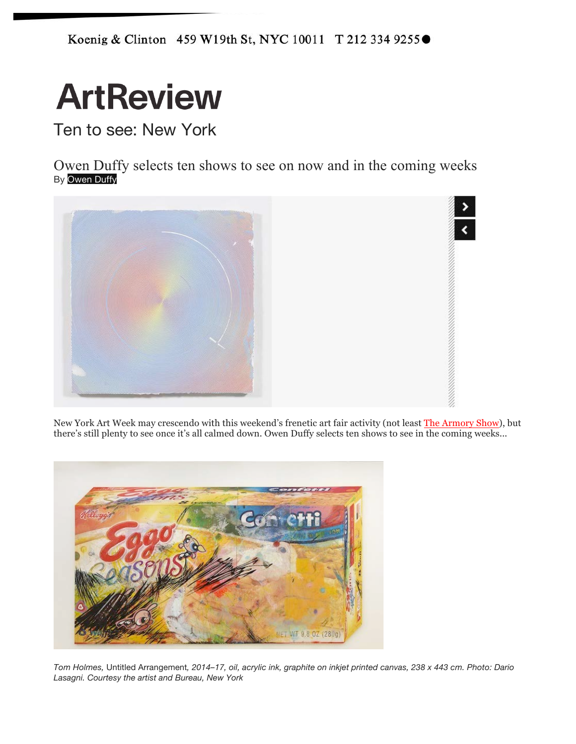Koenig & Clinton 459 W19th St, NYC 10011 T 212 334 9255●

# **ArtReview**

Ten to see: New York

Owen Duffy selects ten shows to see on now and in the coming weeks By Owen Duffy



New York Art Week may crescendo with this weekend's frenetic art fair activity (not least The Armory Show), but there's still plenty to see once it's all calmed down. Owen Duffy selects ten shows to see in the coming weeks...



*Tom Holmes,* Untitled Arrangement*, 2014–17, oil, acrylic ink, graphite on inkjet printed canvas, 238 x 443 cm. Photo: Dario Lasagni. Courtesy the artist and Bureau, New York*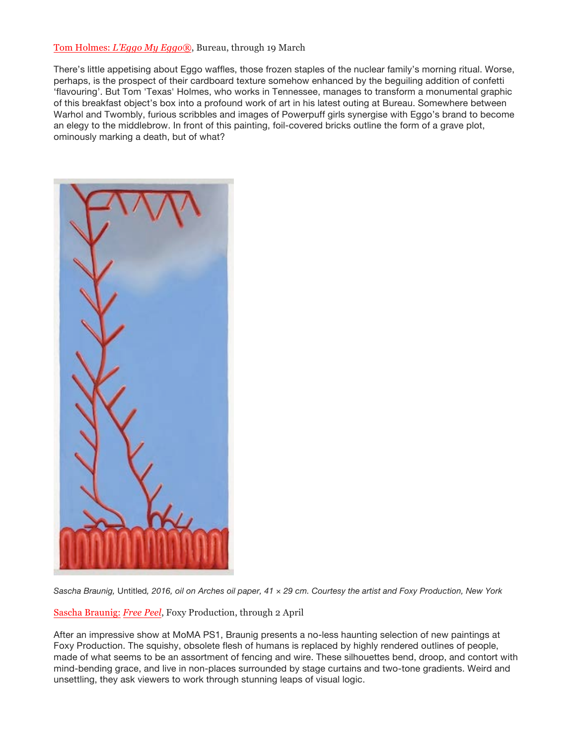### Tom Holmes: *L'Eggo My Eggo®*, Bureau, through 19 March

There's little appetising about Eggo waffles, those frozen staples of the nuclear family's morning ritual. Worse, perhaps, is the prospect of their cardboard texture somehow enhanced by the beguiling addition of confetti 'flavouring'. But Tom 'Texas' Holmes, who works in Tennessee, manages to transform a monumental graphic of this breakfast object's box into a profound work of art in his latest outing at Bureau. Somewhere between Warhol and Twombly, furious scribbles and images of Powerpuff girls synergise with Eggo's brand to become an elegy to the middlebrow. In front of this painting, foil-covered bricks outline the form of a grave plot, ominously marking a death, but of what?



Sascha Braunig, Untitled, 2016, oil on Arches oil paper, 41 x 29 cm. Courtesy the artist and Foxy Production, New York

Sascha Braunig: *Free Peel*, Foxy Production, through 2 April

After an impressive show at MoMA PS1, Braunig presents a no-less haunting selection of new paintings at Foxy Production. The squishy, obsolete flesh of humans is replaced by highly rendered outlines of people, made of what seems to be an assortment of fencing and wire. These silhouettes bend, droop, and contort with mind-bending grace, and live in non-places surrounded by stage curtains and two-tone gradients. Weird and unsettling, they ask viewers to work through stunning leaps of visual logic.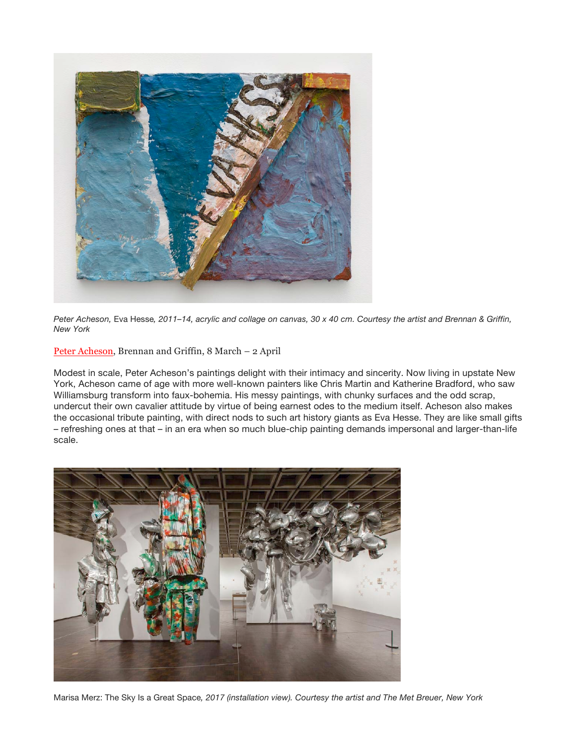

Peter Acheson, Eva Hesse, 2011-14, acrylic and collage on canvas, 30 x 40 cm. Courtesy the artist and Brennan & Griffin, *New York*

Peter Acheson, Brennan and Griffin, 8 March – 2 April

Modest in scale, Peter Acheson's paintings delight with their intimacy and sincerity. Now living in upstate New York, Acheson came of age with more well-known painters like Chris Martin and Katherine Bradford, who saw Williamsburg transform into faux-bohemia. His messy paintings, with chunky surfaces and the odd scrap, undercut their own cavalier attitude by virtue of being earnest odes to the medium itself. Acheson also makes the occasional tribute painting, with direct nods to such art history giants as Eva Hesse. They are like small gifts – refreshing ones at that – in an era when so much blue-chip painting demands impersonal and larger-than-life scale.



Marisa Merz: The Sky Is a Great Space*, 2017 (installation view). Courtesy the artist and The Met Breuer, New York*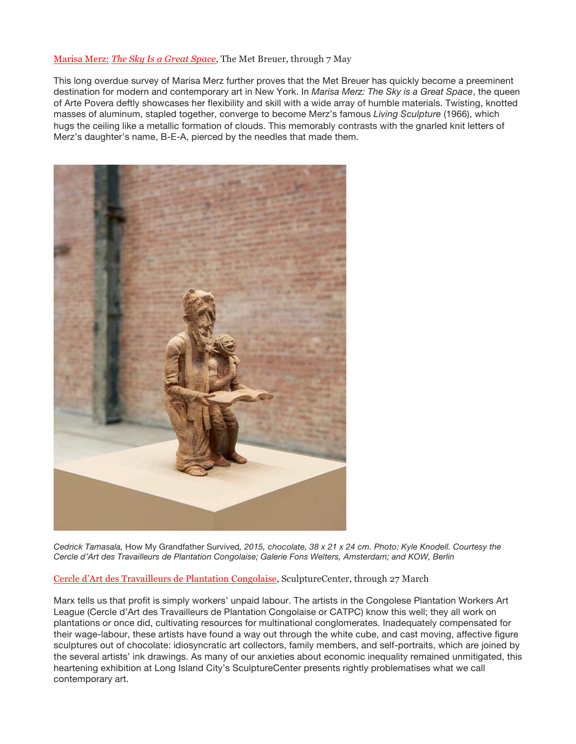### Marisa Merz: *The Sky Is a Great Space*, The Met Breuer, through 7 May

This long overdue survey of Marisa Merz further proves that the Met Breuer has quickly become a preeminent destination for modern and contemporary art in New York. In *Marisa Merz: The Sky is a Great Space*, the queen of Arte Povera deftly showcases her flexibility and skill with a wide array of humble materials. Twisting, knotted masses of aluminum, stapled together, converge to become Merz's famous *Living Sculpture* (1966), which hugs the ceiling like a metallic formation of clouds. This memorably contrasts with the gnarled knit letters of Merz's daughter's name, B-E-A, pierced by the needles that made them.



Cedrick Tamasala, How My Grandfather Survived, 2015, chocolate, 38 x 21 x 24 cm. Photo: Kyle Knodell. Courtesy the *Cercle d'Art des Travailleurs de Plantation Congolaise; Galerie Fons Welters, Amsterdam; and KOW, Berlin*

Cercle d'Art des Travailleurs de Plantation Congolaise, SculptureCenter, through 27 March

Marx tells us that profit is simply workers' unpaid labour. The artists in the Congolese Plantation Workers Art League (Cercle d'Art des Travailleurs de Plantation Congolaise or CATPC) know this well; they all work on plantations or once did, cultivating resources for multinational conglomerates. Inadequately compensated for their wage-labour, these artists have found a way out through the white cube, and cast moving, affective figure sculptures out of chocolate: idiosyncratic art collectors, family members, and self-portraits, which are joined by the several artists' ink drawings. As many of our anxieties about economic inequality remained unmitigated, this heartening exhibition at Long Island City's SculptureCenter presents rightly problematises what we call contemporary art.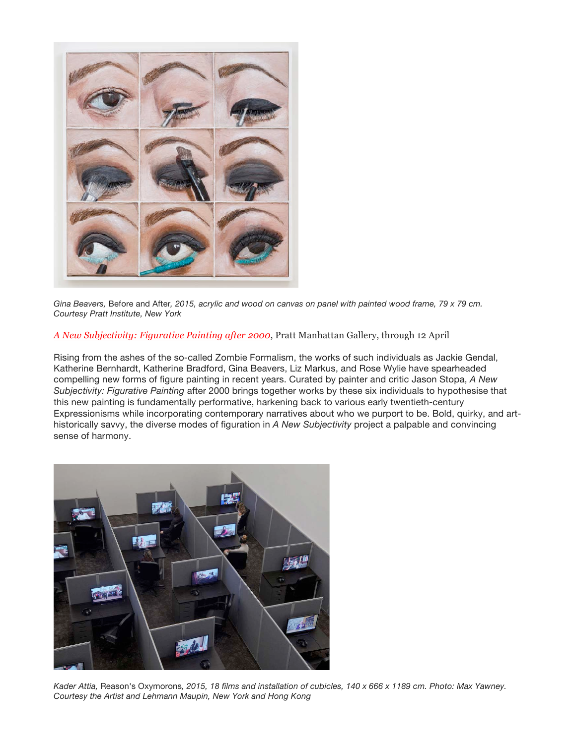

Gina Beavers, Before and After, 2015, acrylic and wood on canvas on panel with painted wood frame, 79 x 79 cm. *Courtesy Pratt Institute, New York*

# *A New Subjectivity: Figurative Painting after 2000*, Pratt Manhattan Gallery, through 12 April

Rising from the ashes of the so-called Zombie Formalism, the works of such individuals as Jackie Gendal, Katherine Bernhardt, Katherine Bradford, Gina Beavers, Liz Markus, and Rose Wylie have spearheaded compelling new forms of figure painting in recent years. Curated by painter and critic Jason Stopa, *A New Subjectivity: Figurative Painting* after 2000 brings together works by these six individuals to hypothesise that this new painting is fundamentally performative, harkening back to various early twentieth-century Expressionisms while incorporating contemporary narratives about who we purport to be. Bold, quirky, and arthistorically savvy, the diverse modes of figuration in *A New Subjectivity* project a palpable and convincing sense of harmony.



Kader Attia, Reason's Oxymorons, 2015, 18 films and installation of cubicles, 140 x 666 x 1189 cm. Photo: Max Yawney. *Courtesy the Artist and Lehmann Maupin, New York and Hong Kong*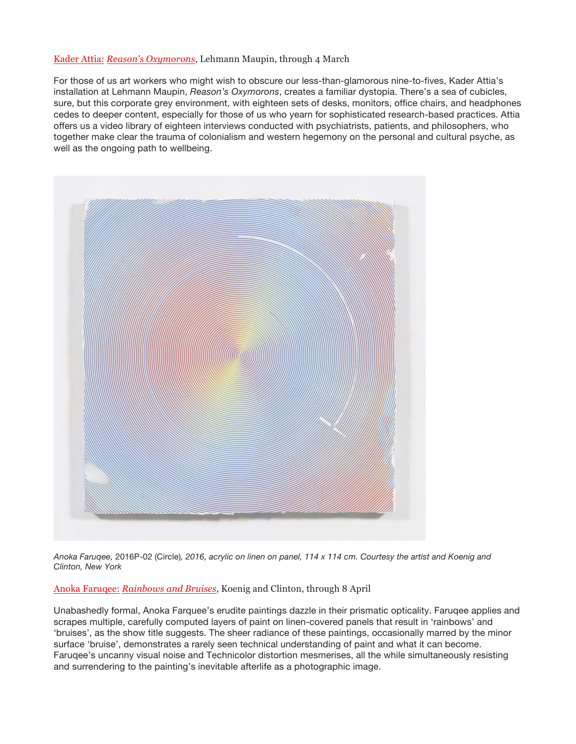## Kader Attia: *Reason's Oxymorons*, Lehmann Maupin, through 4 March

For those of us art workers who might wish to obscure our less-than-glamorous nine-to-fives, Kader Attia's installation at Lehmann Maupin, *Reason's Oxymorons*, creates a familiar dystopia. There's a sea of cubicles, sure, but this corporate grey environment, with eighteen sets of desks, monitors, office chairs, and headphones cedes to deeper content, especially for those of us who yearn for sophisticated research-based practices. Attia offers us a video library of eighteen interviews conducted with psychiatrists, patients, and philosophers, who together make clear the trauma of colonialism and western hegemony on the personal and cultural psyche, as well as the ongoing path to wellbeing.



Anoka Farugee, 2016P-02 (Circle), 2016, acrylic on linen on panel, 114 x 114 cm. Courtesy the artist and Koenig and *Clinton, New York*

Anoka Faruqee: *Rainbows and Bruises*, Koenig and Clinton, through 8 April

Unabashedly formal, Anoka Farquee's erudite paintings dazzle in their prismatic opticality. Faruqee applies and scrapes multiple, carefully computed layers of paint on linen-covered panels that result in 'rainbows' and 'bruises', as the show title suggests. The sheer radiance of these paintings, occasionally marred by the minor surface 'bruise', demonstrates a rarely seen technical understanding of paint and what it can become. Faruqee's uncanny visual noise and Technicolor distortion mesmerises, all the while simultaneously resisting and surrendering to the painting's inevitable afterlife as a photographic image.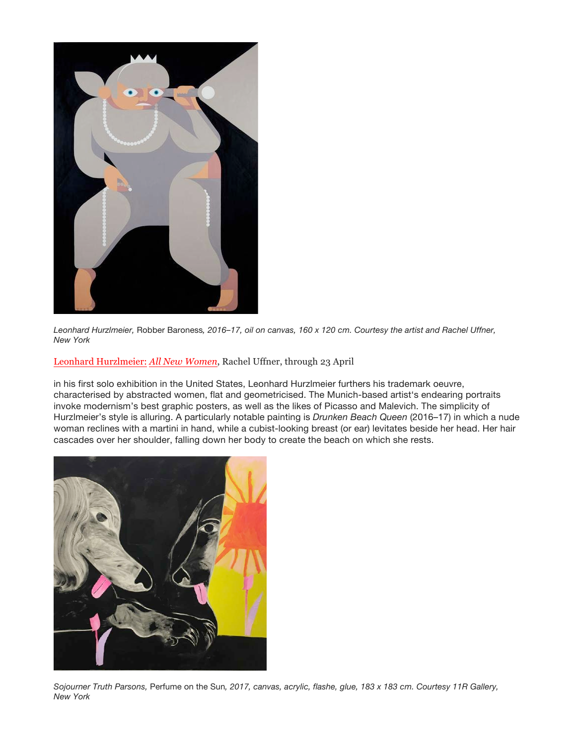

Leonhard Hurzlmeier, Robber Baroness, 2016-17, oil on canvas, 160 x 120 cm. Courtesy the artist and Rachel Uffner, *New York*

Leonhard Hurzlmeier: *All New Women*, Rachel Uffner, through 23 April

in his first solo exhibition in the United States, Leonhard Hurzlmeier furthers his trademark oeuvre, characterised by abstracted women, flat and geometricised. The Munich-based artist's endearing portraits invoke modernism's best graphic posters, as well as the likes of Picasso and Malevich. The simplicity of Hurzlmeier's style is alluring. A particularly notable painting is *Drunken Beach Queen* (2016–17) in which a nude woman reclines with a martini in hand, while a cubist-looking breast (or ear) levitates beside her head. Her hair cascades over her shoulder, falling down her body to create the beach on which she rests.



Sojourner Truth Parsons, Perfume on the Sun, 2017, canvas, acrylic, flashe, glue, 183 x 183 cm. Courtesy 11R Gallery, *New York*